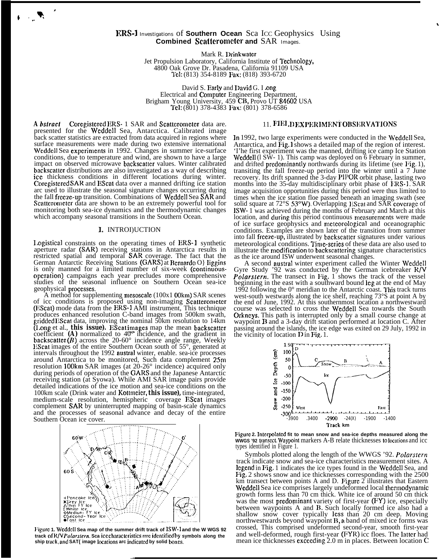## **ERS-1** Investigations of **Southern Ocean** Sca Icc Geophysics Using **Combined Scaltcromctcr and** SAR Images.

Mark R. Drinkwater Jet Propulsion Laboratory, California Institute of Technology, 4800 Oak Grove Dr. Pasadena, California 91109 USA 1'c1: (813) 354-8189 Fax: (818) 393-6720

David S. Early and David G. I ong Electrical and Computer Engineering Department, Brigham Young University, 459 CB, Provo UT 84602 USA Tel: (801) 378-4383 Fax: (801) 378-6586

*A bsfracf* Coregistered ERS- 1 SAR and Scattcrometer data are. presented for the Weddell Sea, Antarctica. Calibrated image back scatter statistics are extracted from data acquired in regions where surface measurements were made during two extensive international Weddell Sea experiments in 1992. Changes in summer ice-surface conditions, due to temperature and wind, are shown to have a large impact on observed microwave backscatter values. Winter calibrated backscattcr distributions are also investigated as a way of describing icc thickness conditions in different locations during winter. Corcgistercd SAR and EScat data over a manned drifting ice station arc used to illustrate the seasonal signature changes occurring during the fall freeze-up transition. Combinations of Weddell Sea SAR and Scatterometer data are shown to be an extremely powerful tool for monitoring both sea-ice dynamics and the thermodynamic changes which accompany seasonal transitions in the Southern Ocean.

t

. We set

## 1. INTROI)UCTION

Logistical constraints on the operating times of ERS-1 synthetic aperture radar (SAR) receiving stations in Antarctica results in restricted spatial and temporal SAR coverage. The fact that the German Antarctic Receiving Stations (GARS) at Bernardo O lliggins is only manned for a limited number of six-week (continuousopcration) campaigns each year precludes more comprehensive studies of the seasonal influence on Southern Ocean sea-ice geophysical proecsses.

A method for supplementing mesoscalc (100x1 00km) SAR scenes of icc conditions is proposed using non-imaging Scatterometcr (EScat) mode data from the ERS-1 AMI instrument, This technique produces enhanced resolution C-band images from 500km swath, gridded EScat data, improving the nominal 50km resolution to 14km (Long et al., *this issue).* EScat images map the mean backscatter coefficient *(A)* normalized to 40° incidence, and the gradient in backscatter  $(B)$  across the 20-60° incidence angle range, Weekly IiScat images of the entire Southern Ocean south of 55°, generated at intervals throughout the 1992 austral winter, enable. sea-ice processes around Antarctica to be monitored, Such data complement 25m resolution 100km SAR images (at 20-26° incidence) acquired only during periods of operation of the GARS and the Japanese Antarctic receiving station (at Syowa). While AMI SAR image pairs provide detailed indications of the ice motion and sea-ice conditions on the 100km scale (Drink water and Kottmeier, *this issue),* time-integrated, medium-scale resolution, hemispheric coverage EScat images complement SAR by uninterrupted mapping of basin-scale dynamics and the processes of seasonal advance and decay of the entire Southern Ocean ice cover.



Figurc 1. Weddell Sea map of the summer drift track of ISW-1 and the W WGS 92 **track of R/V** *Polarstern*, Sca icccharacteristics rrrc identified by symbols along the ship track, and SAT{ image locations arc indicated by solid boxes.

—

# 11. FIELD EXPERIMENT OBSERVATIONS

 $\ddot{\phantom{0}}$ 

In 1992, two large experiments were conducted in the Weddell Sea, Antarctica, and Fig. 1 shows a detailed map of the region of interest. 'I'he first experiment was the manned, drifting ice camp Ice Station Weddell (1 SW- 1). This camp was deployed on 6 February in summer, and drifted predominantly northwards during its lifetime (see Fig. 1), transiting the fall freeze-up period into the winter until a 7 June recovery. Its drift spanned the 3-day PIPOR orbit phase, lasting two months into the 35-day multidisciplinary orbit phase of IRS-I. SAR image acquisition opportunities during this period were thus limited to times when the ice station floe passed beneath an imaging swath (see solid square at 72°S 53°W). Overlapping EScat and SAR coverage of lSW- 1 was achieved during the months of February and March at this location, and during this period continuous measurements were made of ice surface geophysics and meteorological and oceanographic conditions. Examples are shown later of the transition from summer into fall freeze-up, illustrated by backscatter signatures under various meteorological conditions. Time-series of these data are also used to illustrate the modification to backscattering signature characteristics as the ice around ISW underwent seasonal changes.

A second austral winter experiment called the Winter Weddell Gyre Study '92 was conducted by the German icebreaker WV *Polarstern*. The transect in Fig. 1 shows the track of the vessel beginning in the east with a southward bound leg at the end of May 1992 following the  $0^{\circ}$  meridian to the Antarctic coast. This track turns west-south westwards along the ice shelf, reaching 73°S at point A by the end of June, 1992. At this southernmost location a northwestward course was selected to cross the Weddell Sea towards the South Orkneys. This path is interrupted only by a small course change at waypoint **B** and a 3-day drift station performed at location C. After passing around the islands, the ice edge was exited on 29 July, 1992 in the vicinity of location  $D$  in Fig. 1.



Figurc 2. Interpolated fit to mean snow and sea-ice depths measured along the wwGS '92 transect. Waypoint markers A-B relate thicknesses to locations and icc types identified in Figure 1.

Symbols plotted along the length of the WWGS '92. *Polarstern* track indicate snow and sea-ice characteristics measurement sites. A legend in Fig. 1 indicates the ice types found in the Weddell Sea, and Fig. 2 shows snow and ice thicknesses corresponding with the 2500 km transect between points A and D. Figure 2 illustrates that Eastern Weddell Sea ice comprises largely undeformed local thermodynamic growth forms less than 70 cm thick. White ice of around 50 cm thick was the most predominant variety of first-year  $(FY)$  ice, especially between waypoints A and B. Such locally formed ice also had a shallow snow cover typically less than 20 cm deep. Moving northwestwards beyond waypoint B, a band of mixed ice forms was crossed, This comprised undeformed second-year, smooth first-year and well-deformed, rough first-year (FYR) icc floes. The latter had mean ice thicknesses cxcccding 2.0 m in places. Between location C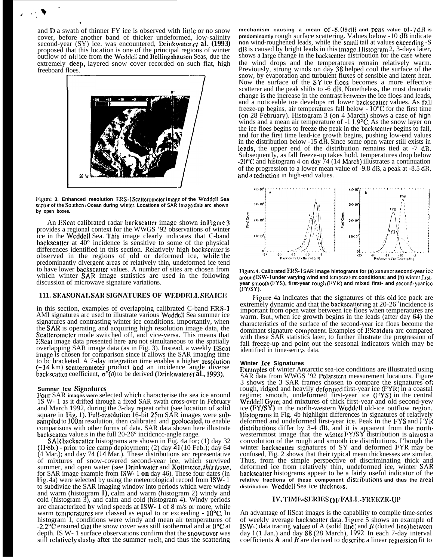and D a swath of thinner FY ice is observed with little or no snow cover, before another band of thicker undeformed, low-salinity second-year (SY) ice. was encountered, Drinkwater *et al.* (1993) proposed that this location is one of the principal regions of winter outflow of old ice from the Weddell and Bellingshausen Seas, due the extremely deep, layered snow cover recorded on such flat, high freeboard floes. wath of thinner FY ice is observed with little or<br>fore another band of thicker undeformed, low<br>ar (SY) ice. was encountered, Drinkwater *et a*<br>that this location is one of the principal regions of<br>old ice from the Weddell

, ,.% "' . .

.



**Figure 3. Enhanced resolution MN-l Scatleromcter irnagc of the Wcddcll Sea** sector of the Southern Ocean during winter. Locations of SAR image data arc shown **by open boxes.**

An EScat calibrated radar backscatter image shown in Figure 3 provides a regional context for the WWGS '92 observations of winter ice in the Wcddcll Sea. I'his image clearly indicates that C-band backscatter at  $40^{\circ}$  incidence is sensitive to some of the physical differences identified in this section. Relatively high backscatter is observed in the regions of old or deformed ice, while the predominantly divergent areas of relatively thin, undeformed ice tend to have lower backscatter values. A number of sites are chosen from which winter **SAR** image statistics arc used in the following discussion of microwave signature variations.

## **111. SI(:ASONAI. SAR SIGNATURES OF WIU)DEI. I. SRA ICR**

in this section, examples of overlapping calibrated C-band ERS- <sup>1</sup> AMI signatures arc used to illustrate various Weddell Sea summer ice signatures and contrasting winter ice conditions. importantly, when the SAR is operating and acquiring high resolution image data, the Scatterometer mode switched off, and vice-versa. This means that EScat image data presented here are not simultaneous to the spatially overlapping SAR image data (as in Fig. 3). Instead, a weekly EScat image is chosen for comparison since it allows the SAR imaging time to bc bracketed. A 7-day integration time enables a higher resolution  $(-14 \text{ km})$  scatterometer product and an incidence angle diverse backscatter coefficient,  $\sigma^{\circ}(\theta)$  to be derived (Drinkwater *ct al.*, 1993).

#### **Sumner Ice Signatures**

Four SAR images were selected which characterise the sea ice around 1S W- 1 as it drifted through a fixed SAR swath cross-over in February and March 1992, during the 3-day repeat orbit (see location of solid square in Fig. 1). Full-resolution 16-bit 25m SAR images were subsampled to 100m resolution, then calibrated and geolocated, to enable comparisons with other forms of data. SAR data shown here illustrate backscatter value is in the full 20-26 $\degree$  incidence-angle range.

SAR backscatter histograms are shown in Fig. 4a for; (1) day 32 (1 Feb.) - prior to ice camp deployment; (2) day  $\overline{41}$  (10 Feb.); day 64 (4 Mar.); and day 74 (14 Mar.). These distributions arc representative of mixtures of snow-covered second-year ice, which survived summer, and open water (see Drinkwater and Kottmeier, this issue, for SAR image example from ISW- 1 *on* day 46). These four dates (in l~ig. 4a) were selected by using the meteorological record from lSW- 1 to subdivide the SAR imaging window into periods which were windy and warm (histogram 1), calm and warm (histogram 2) windy and cold (histogram 3), and calm and cold (histogram 4). Windy periods arc characterized by wind speeds at ISW- 1 of 8 m/s or more, while warm temperatures are classed as equal to or exceeding - 10<sup>o</sup>C. In histogram 1, conditions were windy and mean air temperatures of  $-2.2^{\circ}$ C ensured that the snow cover was still isothermal and at  $0^{\circ}$ C at depth. IS W- 1 surface observations confirm that the snowcovcr was still relatively slushy after the summer melt, and thus the scattering

**mechanism causing a mean**  $\text{Of } -8.08 \text{ dB}$  **anrt peak value**  $\text{Of } -7 \text{ dB}$  **is predominantly** rough surface scattering. Values below -10 dB indicate **non** wind-roughened leads, while the small tail at values excccding -S dB is caused by bright leads in this image. Histogram 2, 3-days later, shows a large change in the backscatter distribution for the case where the wind drops and the temperatures remain relatively warm. Previously, strong winds on day 38 helped cool the surface of the snow, by evaporation and turbulent fluxes of sensible and latent heat. Now the surface of the  $SY$  ice flocs becomes a more effective scatterer and the peak shifts to -6 dB. Nonetheless, the most dramatic change is the increase in the contrast bctwccn the ice floes and leads, and a noticeable toe develops rrt lower backscatter values. As fall freeze-up begins, air temperatures fall below - 10°C for the first time (on 28 February). Histogram 3 (on 4 March) shows a case of high winds and a mean air temperature of -1 1.9°C. As the snow layer on the ice floes begins to freeze the peak in the backscatter begins to fall, and for the first time lead-ice growth begins, pushing low-end values in the distribution below -15 dB. Since some open water still exists in leads, the upper end of the distribution remains tied at -7 dB. Subsequently, as fall freeze-up takes hold, temperatures drop below  $-20^{\circ}$ C and histogram 4 on day 74 (14 March) illustrates a continuation of the progression to a lower mean value of -9.8 dB, a peak at -8.5 dB. and a reduction in high-end values.



Figure 4. Calibrated FRS-1 SAR image histograms for (a) summer second-year icc around ISW-1 under varying wind and temperature conditions; and (h) winter first**year** smooth(FYS), first-year rough(FYR) and mixed first- and second-yearice **(FY/sY).**

Figure 4a indicates that the signatures of this old ice pack are extremely dynamic and that the backscattering at  $20-26^{\circ}$  incidence is important from open water between ice floes when temperatures are warm. Hut, when ice growth begins in the leads (after day 64) the characteristics of the surface of the second-year ice floes become the dominant signature component. Examples of EScat data arc compared with these SAR statistics later, to further illustrate the progression of fall freeze-up and point out the seasonal indicators which may be identified in time-seric,s data.

#### **Winter Ice Signatures**

**Fixamples of winter Antarctic sea-ice conditions are illustrated using** SAR data from WWGS '92 Polarstcrn measurement locations. Figure 3 shows the 3 SAR frames chosen to compare the signatures of: rough, ridged and heavily deformed first-year ice (FYR) in a coastal regime; smooth, undeformed first-year ice (FYS) in the central Weddell Gyre; and mixtures of thick first-year and old second-yew ice (FY/SY) in the norlh-western Wcddell old-ice outflow region. Histograms in Fig. 4b highlight differences in signatures of relatively deformed and undeformed first-year ice. Peak in the F'YS and FYR distributions differ by  $3-4$  dB, and it is apparent from the northwesternmost image that the winter FY/SY distribution is almost a convolution of the rough and smooth ice distributions. I'bough the winter backscatter signatures of SY and deformed FYR may be confused, Fig. 2 shows that their typical mean thicknesses are similar, Thus, from the simple perspective of discriminating thick and deformed ice from relatively thin, undeformed ice, winter SAR backscatter histograms appear to be a fairly useful indicator of the **relative fractions of these component clistributions and thus the arcal** distribution Weddell Sea ice thickness.

## IV. TIME-SERIES OF FALL .- FREEZE-UP

An advantage of IiScat images is the capability to compile time-series of weekly average backscatter data. F'igure 5 shows an example of ISW-1 data tracing values of A (solid line) and  $B$  (dotted line) between day 1 (1 Jan.) and day 88 (28 March), 1992. In each 7-day interval coefficients  $\bf{A}$  and  $\bf{B}$  are derived to describe a linear regression fit to